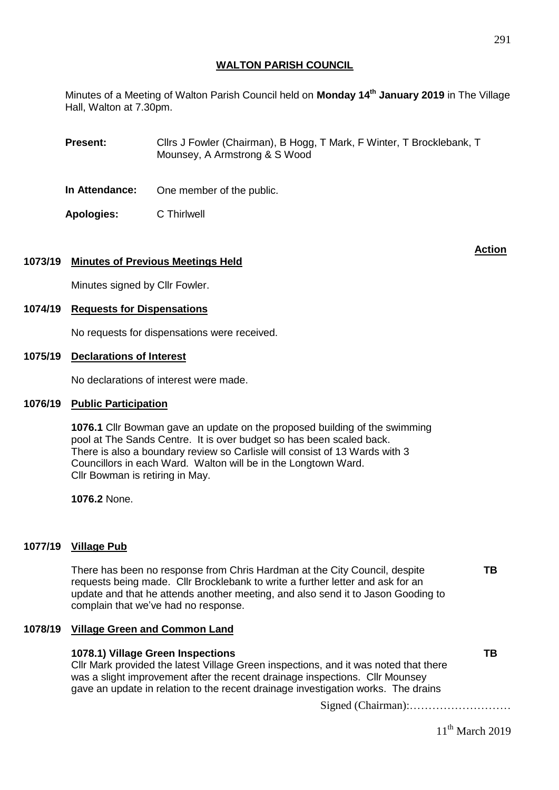Minutes of a Meeting of Walton Parish Council held on **Monday 14 th January 2019** in The Village Hall, Walton at 7.30pm.

**Present:** Cllrs J Fowler (Chairman), B Hogg, T Mark, F Winter, T Brocklebank, T Mounsey, A Armstrong & S Wood

**In Attendance:** One member of the public.

**Apologies:** C Thirlwell

# **1073/19 Minutes of Previous Meetings Held**

Minutes signed by Cllr Fowler.

## **1074/19 Requests for Dispensations**

No requests for dispensations were received.

## **1075/19 Declarations of Interest**

No declarations of interest were made.

## **1076/19 Public Participation**

**1076.1** Cllr Bowman gave an update on the proposed building of the swimming pool at The Sands Centre. It is over budget so has been scaled back. There is also a boundary review so Carlisle will consist of 13 Wards with 3 Councillors in each Ward. Walton will be in the Longtown Ward. Cllr Bowman is retiring in May.

**1076.2** None.

# **1077/19 Village Pub**

There has been no response from Chris Hardman at the City Council, despite requests being made. Cllr Brocklebank to write a further letter and ask for an update and that he attends another meeting, and also send it to Jason Gooding to complain that we've had no response.

### **1078/19 Village Green and Common Land**

| 1078.1) Village Green Inspections                                                    | ТB |
|--------------------------------------------------------------------------------------|----|
| CIIr Mark provided the latest Village Green inspections, and it was noted that there |    |
| was a slight improvement after the recent drainage inspections. Cllr Mounsey         |    |
| gave an update in relation to the recent drainage investigation works. The drains    |    |
|                                                                                      |    |

Signed (Chairman):………………………

11<sup>th</sup> March 2019

**TB**

**Action**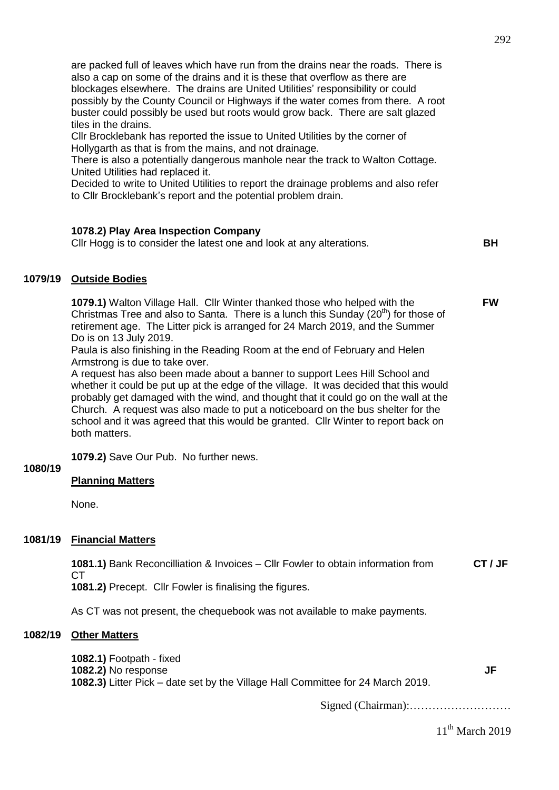292

are packed full of leaves which have run from the drains near the roads. There is also a cap on some of the drains and it is these that overflow as there are blockages elsewhere. The drains are United Utilities' responsibility or could possibly by the County Council or Highways if the water comes from there. A root buster could possibly be used but roots would grow back. There are salt glazed tiles in the drains.

Cllr Brocklebank has reported the issue to United Utilities by the corner of Hollygarth as that is from the mains, and not drainage.

There is also a potentially dangerous manhole near the track to Walton Cottage. United Utilities had replaced it.

Decided to write to United Utilities to report the drainage problems and also refer to Cllr Brocklebank's report and the potential problem drain.

# **1078.2) Play Area Inspection Company**

Cllr Hogg is to consider the latest one and look at any alterations. **BH**

**FW**

# **1079/19 Outside Bodies**

**1079.1)** Walton Village Hall. Cllr Winter thanked those who helped with the Christmas Tree and also to Santa. There is a lunch this Sunday  $(20<sup>th</sup>)$  for those of retirement age. The Litter pick is arranged for 24 March 2019, and the Summer Do is on 13 July 2019.

Paula is also finishing in the Reading Room at the end of February and Helen Armstrong is due to take over.

A request has also been made about a banner to support Lees Hill School and whether it could be put up at the edge of the village. It was decided that this would probably get damaged with the wind, and thought that it could go on the wall at the Church. A request was also made to put a noticeboard on the bus shelter for the school and it was agreed that this would be granted. Cllr Winter to report back on both matters.

**1079.2)** Save Our Pub. No further news.

# **1080/19**

# **Planning Matters**

None.

# **1081/19 Financial Matters**

**1081.1)** Bank Reconcilliation & Invoices – Cllr Fowler to obtain information from **CT CT / JF**

**1081.2)** Precept. Cllr Fowler is finalising the figures.

As CT was not present, the chequebook was not available to make payments.

# **1082/19 Other Matters**

**1082.1)** Footpath - fixed **1082.2)** No response **1082.3)** Litter Pick – date set by the Village Hall Committee for 24 March 2019.

Signed (Chairman):………………………

11<sup>th</sup> March 2019

**JF**